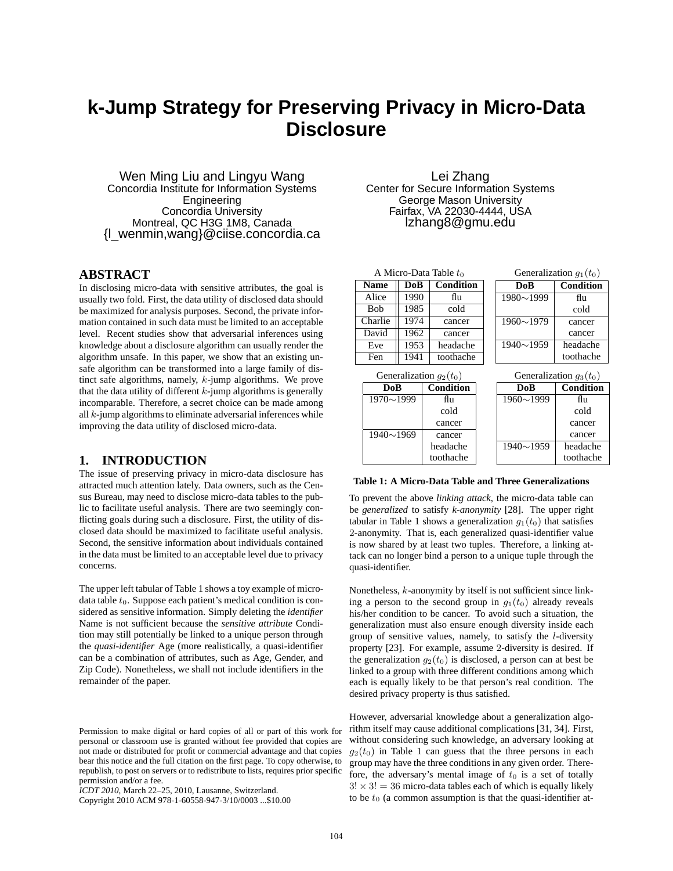# **k-Jump Strategy for Preserving Privacy in Micro-Data Disclosure**

Wen Ming Liu and Lingyu Wang Concordia Institute for Information Systems **Engineering** Concordia University Montreal, QC H3G 1M8, Canada {l\_wenmin,wang}@ciise.concordia.ca

# **ABSTRACT**

In disclosing micro-data with sensitive attributes, the goal is usually two fold. First, the data utility of disclosed data should be maximized for analysis purposes. Second, the private information contained in such data must be limited to an acceptable level. Recent studies show that adversarial inferences using knowledge about a disclosure algorithm can usually render the algorithm unsafe. In this paper, we show that an existing unsafe algorithm can be transformed into a large family of distinct safe algorithms, namely, k-jump algorithms. We prove that the data utility of different  $k$ -jump algorithms is generally incomparable. Therefore, a secret choice can be made among all k-jump algorithms to eliminate adversarial inferences while improving the data utility of disclosed micro-data.

#### **1. INTRODUCTION**

The issue of preserving privacy in micro-data disclosure has attracted much attention lately. Data owners, such as the Census Bureau, may need to disclose micro-data tables to the public to facilitate useful analysis. There are two seemingly conflicting goals during such a disclosure. First, the utility of disclosed data should be maximized to facilitate useful analysis. Second, the sensitive information about individuals contained in the data must be limited to an acceptable level due to privacy concerns.

The upper left tabular of Table 1 shows a toy example of microdata table  $t_0$ . Suppose each patient's medical condition is considered as sensitive information. Simply deleting the *identifier* Name is not sufficient because the *sensitive attribute* Condition may still potentially be linked to a unique person through the *quasi-identifier* Age (more realistically, a quasi-identifier can be a combination of attributes, such as Age, Gender, and Zip Code). Nonetheless, we shall not include identifiers in the remainder of the paper.

*ICDT 2010*, March 22–25, 2010, Lausanne, Switzerland.

Lei Zhang Center for Secure Information Systems George Mason University Fairfax, VA 22030-4444, USA lzhang8@gmu.edu

| A Micro-Data Table $t_0$  |                  |                  |                           |                  | Generalization $g_1(t_0)$ |
|---------------------------|------------------|------------------|---------------------------|------------------|---------------------------|
| <b>Name</b>               | Condition<br>DoB |                  |                           | DoB              | Condition                 |
| Alice                     | 1990             | flu              |                           | $1980 \sim 1999$ | flu                       |
| <b>Bob</b>                | 1985             | cold             |                           |                  | cold                      |
| Charlie                   | 1974             | cancer           |                           | $1960 \sim 1979$ | cancer                    |
| David                     | 1962             | cancer           |                           |                  | cancer                    |
| Eve                       | 1953             | headache         |                           | $1940 \sim 1959$ | headache                  |
| Fen                       | 1941             | toothache        |                           | toothache        |                           |
| Generalization $g_2(t_0)$ |                  |                  | Generalization $g_3(t_0)$ |                  |                           |
| DoB                       |                  | <b>Condition</b> |                           | DoB              | Condition                 |
| $1970 \sim 1999$          |                  | flu              |                           | $1960 \sim 1999$ | flu                       |
|                           |                  | cold             |                           |                  | cold                      |
|                           |                  | cancer           |                           |                  | cancer                    |
| $1940 \sim 1969$          |                  | cancer           |                           |                  | cancer                    |
|                           |                  | headache         |                           | $1940 \sim 1959$ | headache                  |
|                           |                  | toothache        |                           |                  | toothache                 |

**Table 1: A Micro-Data Table and Three Generalizations**

To prevent the above *linking attack*, the micro-data table can be *generalized* to satisfy *k-anonymity* [28]. The upper right tabular in Table 1 shows a generalization  $g_1(t_0)$  that satisfies 2-anonymity. That is, each generalized quasi-identifier value is now shared by at least two tuples. Therefore, a linking attack can no longer bind a person to a unique tuple through the quasi-identifier.

Nonetheless, k-anonymity by itself is not sufficient since linking a person to the second group in  $g_1(t_0)$  already reveals his/her condition to be cancer. To avoid such a situation, the generalization must also ensure enough diversity inside each group of sensitive values, namely, to satisfy the  $l$ -diversity property [23]. For example, assume 2-diversity is desired. If the generalization  $q_2(t_0)$  is disclosed, a person can at best be linked to a group with three different conditions among which each is equally likely to be that person's real condition. The desired privacy property is thus satisfied.

However, adversarial knowledge about a generalization algorithm itself may cause additional complications [31, 34]. First, without considering such knowledge, an adversary looking at  $q_2(t_0)$  in Table 1 can guess that the three persons in each group may have the three conditions in any given order. Therefore, the adversary's mental image of  $t_0$  is a set of totally  $3! \times 3! = 36$  micro-data tables each of which is equally likely to be  $t_0$  (a common assumption is that the quasi-identifier at-

Permission to make digital or hard copies of all or part of this work for personal or classroom use is granted without fee provided that copies are not made or distributed for profit or commercial advantage and that copies bear this notice and the full citation on the first page. To copy otherwise, to republish, to post on servers or to redistribute to lists, requires prior specific permission and/or a fee.

Copyright 2010 ACM 978-1-60558-947-3/10/0003 ...\$10.00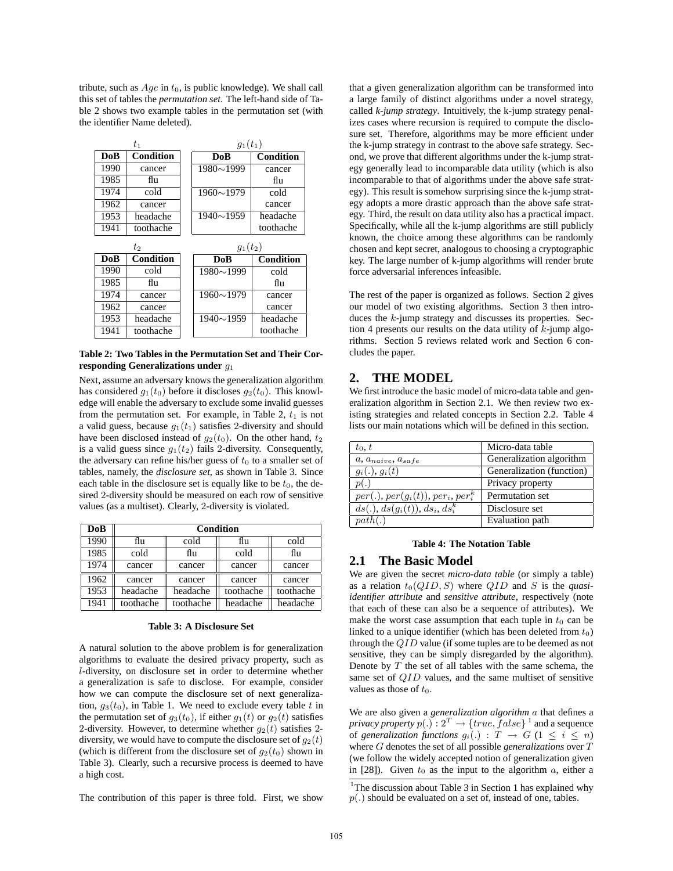tribute, such as  $Age$  in  $t_0$ , is public knowledge). We shall call this set of tables the *permutation set*. The left-hand side of Table 2 shows two example tables in the permutation set (with the identifier Name deleted).

|      | $t_{1}$          | $g_1(t_1)$       |                  |  |
|------|------------------|------------------|------------------|--|
| DoB  | <b>Condition</b> | DoB              | <b>Condition</b> |  |
| 1990 | cancer           | $1980 \sim 1999$ | cancer           |  |
| 1985 | flu              |                  | flu              |  |
| 1974 | cold             | $1960 \sim 1979$ | cold             |  |
| 1962 | cancer           |                  | cancer           |  |
| 1953 | headache         | $1940 \sim 1959$ | headache         |  |
| 1941 | toothache        |                  | toothache        |  |
|      | t2               | $q_1(t_2)$       |                  |  |
| DoB  | <b>Condition</b> | DoB              | <b>Condition</b> |  |
|      |                  |                  |                  |  |
| 1990 | cold             | $1980 \sim 1999$ | cold             |  |
| 1985 | flu              |                  | flu              |  |
| 1974 | cancer           | $1960 \sim 1979$ | cancer           |  |
| 1962 | cancer           |                  | cancer           |  |
| 1953 | headache         | $1940 \sim 1959$ | headache         |  |

**Table 2: Two Tables in the Permutation Set and Their Corresponding Generalizations under** g<sup>1</sup>

Next, assume an adversary knows the generalization algorithm has considered  $g_1(t_0)$  before it discloses  $g_2(t_0)$ . This knowledge will enable the adversary to exclude some invalid guesses from the permutation set. For example, in Table 2,  $t_1$  is not a valid guess, because  $g_1(t_1)$  satisfies 2-diversity and should have been disclosed instead of  $g_2(t_0)$ . On the other hand,  $t_2$ is a valid guess since  $q_1(t_2)$  fails 2-diversity. Consequently, the adversary can refine his/her guess of  $t_0$  to a smaller set of tables, namely, the *disclosure set*, as shown in Table 3. Since each table in the disclosure set is equally like to be  $t_0$ , the desired 2-diversity should be measured on each row of sensitive values (as a multiset). Clearly, 2-diversity is violated.

| DoB  | Condition |           |           |           |  |  |  |  |
|------|-----------|-----------|-----------|-----------|--|--|--|--|
| 1990 | flu       | cold      | flu       | cold      |  |  |  |  |
| 1985 | cold      | flu       | cold      | flu       |  |  |  |  |
| 1974 | cancer    | cancer    | cancer    | cancer    |  |  |  |  |
| 1962 | cancer    | cancer    | cancer    | cancer    |  |  |  |  |
| 1953 | headache  | headache  | toothache | toothache |  |  |  |  |
| 1941 | toothache | toothache | headache  | headache  |  |  |  |  |

| <b>Table 3: A Disclosure Set</b> |  |  |  |  |
|----------------------------------|--|--|--|--|
|----------------------------------|--|--|--|--|

A natural solution to the above problem is for generalization algorithms to evaluate the desired privacy property, such as l-diversity, on disclosure set in order to determine whether a generalization is safe to disclose. For example, consider how we can compute the disclosure set of next generalization,  $q_3(t_0)$ , in Table 1. We need to exclude every table t in the permutation set of  $q_3(t_0)$ , if either  $q_1(t)$  or  $q_2(t)$  satisfies 2-diversity. However, to determine whether  $q_2(t)$  satisfies 2diversity, we would have to compute the disclosure set of  $q_2(t)$ (which is different from the disclosure set of  $q_2(t_0)$  shown in Table 3). Clearly, such a recursive process is deemed to have a high cost.

The contribution of this paper is three fold. First, we show

that a given generalization algorithm can be transformed into a large family of distinct algorithms under a novel strategy, called *k-jump strategy*. Intuitively, the k-jump strategy penalizes cases where recursion is required to compute the disclosure set. Therefore, algorithms may be more efficient under the k-jump strategy in contrast to the above safe strategy. Second, we prove that different algorithms under the k-jump strategy generally lead to incomparable data utility (which is also incomparable to that of algorithms under the above safe strategy). This result is somehow surprising since the k-jump strategy adopts a more drastic approach than the above safe strategy. Third, the result on data utility also has a practical impact. Specifically, while all the k-jump algorithms are still publicly known, the choice among these algorithms can be randomly chosen and kept secret, analogous to choosing a cryptographic key. The large number of k-jump algorithms will render brute force adversarial inferences infeasible.

The rest of the paper is organized as follows. Section 2 gives our model of two existing algorithms. Section 3 then introduces the k-jump strategy and discusses its properties. Section 4 presents our results on the data utility of  $k$ -jump algorithms. Section 5 reviews related work and Section 6 concludes the paper.

### **2. THE MODEL**

We first introduce the basic model of micro-data table and generalization algorithm in Section 2.1. We then review two existing strategies and related concepts in Section 2.2. Table 4 lists our main notations which will be defined in this section.

| $t_0, t$                                       | Micro-data table          |
|------------------------------------------------|---------------------------|
| $a, a_{naive}, a_{safe}$                       | Generalization algorithm  |
| $g_i(.)$ , $g_i(t)$                            | Generalization (function) |
| p(.)                                           | Privacy property          |
| $per(.)$ , $per(g_i(t))$ , $per_i$ , $per_i^k$ | Permutation set           |
| $ds(.)$ , $ds(g_i(t))$ , $ds_i$ , $ds_i^k$     | Disclosure set            |
| $path($ .                                      | Evaluation path           |

#### **Table 4: The Notation Table**

#### **2.1 The Basic Model**

We are given the secret *micro-data table* (or simply a table) as a relation  $t_0(QID, S)$  where  $QID$  and S is the *quasiidentifier attribute* and *sensitive attribute*, respectively (note that each of these can also be a sequence of attributes). We make the worst case assumption that each tuple in  $t_0$  can be linked to a unique identifier (which has been deleted from  $t_0$ ) through the QID value (if some tuples are to be deemed as not sensitive, they can be simply disregarded by the algorithm). Denote by  $T$  the set of all tables with the same schema, the same set of QID values, and the same multiset of sensitive values as those of  $t_0$ .

We are also given a *generalization algorithm* a that defines a *privacy property*  $p(.)$ :  $2^T \rightarrow \{true, false\}$ <sup>1</sup> and a sequence of *generalization functions*  $g_i(.)$  :  $T \rightarrow G$  ( $1 \leq i \leq n$ ) where G denotes the set of all possible *generalizations* over T (we follow the widely accepted notion of generalization given in [28]). Given  $t_0$  as the input to the algorithm a, either a

<sup>&</sup>lt;sup>1</sup>The discussion about Table 3 in Section 1 has explained why  $p(.)$  should be evaluated on a set of, instead of one, tables.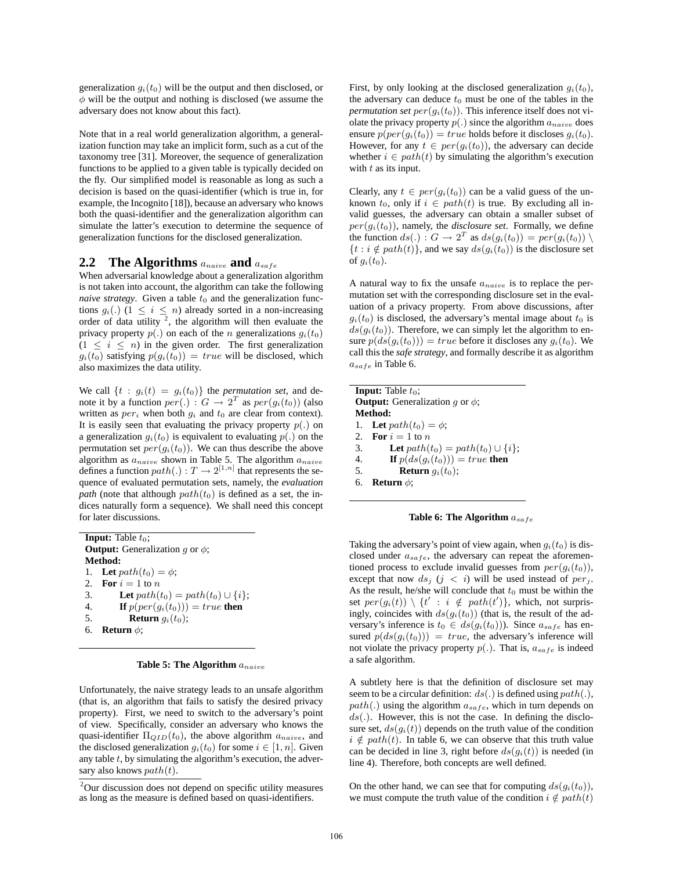generalization  $g_i(t_0)$  will be the output and then disclosed, or  $\phi$  will be the output and nothing is disclosed (we assume the adversary does not know about this fact).

Note that in a real world generalization algorithm, a generalization function may take an implicit form, such as a cut of the taxonomy tree [31]. Moreover, the sequence of generalization functions to be applied to a given table is typically decided on the fly. Our simplified model is reasonable as long as such a decision is based on the quasi-identifier (which is true in, for example, the Incognito [18]), because an adversary who knows both the quasi-identifier and the generalization algorithm can simulate the latter's execution to determine the sequence of generalization functions for the disclosed generalization.

## **2.2 The Algorithms**  $a_{naive}$  **and**  $a_{safe}$

When adversarial knowledge about a generalization algorithm is not taken into account, the algorithm can take the following *naive strategy*. Given a table  $t_0$  and the generalization functions  $q_i(.)$  (1 <  $i \leq n$ ) already sorted in a non-increasing order of data utility  $2$ , the algorithm will then evaluate the privacy property  $p(.)$  on each of the *n* generalizations  $g_i(t_0)$  $(1 \leq i \leq n)$  in the given order. The first generalization  $g_i(t_0)$  satisfying  $p(g_i(t_0)) = true$  will be disclosed, which also maximizes the data utility.

We call  $\{t : g_i(t) = g_i(t_0)\}\$  the *permutation set*, and denote it by a function  $per(.)$ :  $G \rightarrow 2^T$  as  $per(g_i(t_0))$  (also written as  $per_i$  when both  $q_i$  and  $t_0$  are clear from context). It is easily seen that evaluating the privacy property  $p(.)$  on a generalization  $g_i(t_0)$  is equivalent to evaluating  $p(.)$  on the permutation set  $per(q_i(t_0))$ . We can thus describe the above algorithm as  $a_{naive}$  shown in Table 5. The algorithm  $a_{naive}$ defines a function  $path(.) : T \rightarrow 2^{[1,n]}$  that represents the sequence of evaluated permutation sets, namely, the *evaluation path* (note that although  $path(t_0)$  is defined as a set, the indices naturally form a sequence). We shall need this concept for later discussions.

**Input:** Table  $t_0$ ; **Output:** Generalization  $g$  or  $\phi$ ; **Method:** 1. **Let**  $path(t_0) = \phi$ ; 2. **For**  $i = 1$  to n 3. **Let**  $path(t_0) = path(t_0) \cup \{i\};$ 4. **If**  $p(\text{per}(g_i(t_0))) = \text{true}$  then 5. **Return**  $g_i(t_0)$ ; 6. **Return** φ;

**Table 5: The Algorithm**  $a_{naive}$ 

Unfortunately, the naive strategy leads to an unsafe algorithm (that is, an algorithm that fails to satisfy the desired privacy property). First, we need to switch to the adversary's point of view. Specifically, consider an adversary who knows the quasi-identifier  $\Pi_{QID}(t_0)$ , the above algorithm  $a_{naive}$ , and the disclosed generalization  $g_i(t_0)$  for some  $i \in [1, n]$ . Given any table  $t$ , by simulating the algorithm's execution, the adversary also knows  $path(t)$ .

First, by only looking at the disclosed generalization  $g_i(t_0)$ , the adversary can deduce  $t_0$  must be one of the tables in the *permutation set*  $per(g_i(t_0))$ . This inference itself does not violate the privacy property  $p(.)$  since the algorithm  $a_{naive}$  does ensure  $p(\text{per}(q_i(t_0))) = \text{true}$  holds before it discloses  $q_i(t_0)$ . However, for any  $t \in per(g_i(t_0))$ , the adversary can decide whether  $i \in path(t)$  by simulating the algorithm's execution with  $t$  as its input.

Clearly, any  $t \in per(g_i(t_0))$  can be a valid guess of the unknown  $t_0$ , only if  $i \in path(t)$  is true. By excluding all invalid guesses, the adversary can obtain a smaller subset of  $per(q_i(t_0))$ , namely, the *disclosure set*. Formally, we define the function  $ds(.)$ :  $G \rightarrow 2^T$  as  $ds(q_i(t_0)) = per(q_i(t_0))$  $\{t : i \notin path(t)\}\$ , and we say  $ds(q_i(t_0))$  is the disclosure set of  $g_i(t_0)$ .

A natural way to fix the unsafe  $a_{naive}$  is to replace the permutation set with the corresponding disclosure set in the evaluation of a privacy property. From above discussions, after  $g_i(t_0)$  is disclosed, the adversary's mental image about  $t_0$  is  $ds(g_i(t_0))$ . Therefore, we can simply let the algorithm to ensure  $p(ds(g_i(t_0))) = true$  before it discloses any  $g_i(t_0)$ . We call this the *safe strategy*, and formally describe it as algorithm  $a_{safe}$  in Table 6.

| <b>Input:</b> Table $t_0$ ;                 |    |  |  |  |  |  |  |
|---------------------------------------------|----|--|--|--|--|--|--|
| <b>Output:</b> Generalization q or $\phi$ ; |    |  |  |  |  |  |  |
| Method:                                     |    |  |  |  |  |  |  |
| 1. Let $path(t_0) = \phi$ ;                 |    |  |  |  |  |  |  |
| 2. For $i=1$ to n                           |    |  |  |  |  |  |  |
| Let $path(t_0) = path(t_0) \cup \{i\};$     | 3. |  |  |  |  |  |  |
| <b>If</b> $p(ds(g_i(t_0))) = true$ then     | 4. |  |  |  |  |  |  |
| <b>Return</b> $q_i(t_0)$ ;                  | 5. |  |  |  |  |  |  |
| Return $\phi$ :                             | б. |  |  |  |  |  |  |

**Table 6: The Algorithm**  $a_{safe}$ 

Taking the adversary's point of view again, when  $g_i(t_0)$  is disclosed under  $a_{safe}$ , the adversary can repeat the aforementioned process to exclude invalid guesses from  $per(g_i(t_0)),$ except that now  $ds_j$   $(j < i)$  will be used instead of  $per_j$ . As the result, he/she will conclude that  $t_0$  must be within the set  $per(g_i(t)) \setminus \{t' : i \notin path(t')\}$ , which, not surprisingly, coincides with  $ds(g_i(t_0))$  (that is, the result of the adversary's inference is  $t_0 \in ds(g_i(t_0))$ . Since  $a_{safe}$  has ensured  $p(ds(g_i(t_0))) = true$ , the adversary's inference will not violate the privacy property  $p(.)$ . That is,  $a_{safe}$  is indeed a safe algorithm.

A subtlety here is that the definition of disclosure set may seem to be a circular definition:  $ds(.)$  is defined using  $path(.)$ ,  $path(.)$  using the algorithm  $a_{safe}$ , which in turn depends on  $ds(.)$ . However, this is not the case. In defining the disclosure set,  $ds(q_i(t))$  depends on the truth value of the condition  $i \notin path(t)$ . In table 6, we can observe that this truth value can be decided in line 3, right before  $ds(q_i(t))$  is needed (in line 4). Therefore, both concepts are well defined.

On the other hand, we can see that for computing  $ds(g_i(t_0))$ , we must compute the truth value of the condition  $i \notin path(t)$ 

<sup>&</sup>lt;sup>2</sup>Our discussion does not depend on specific utility measures as long as the measure is defined based on quasi-identifiers.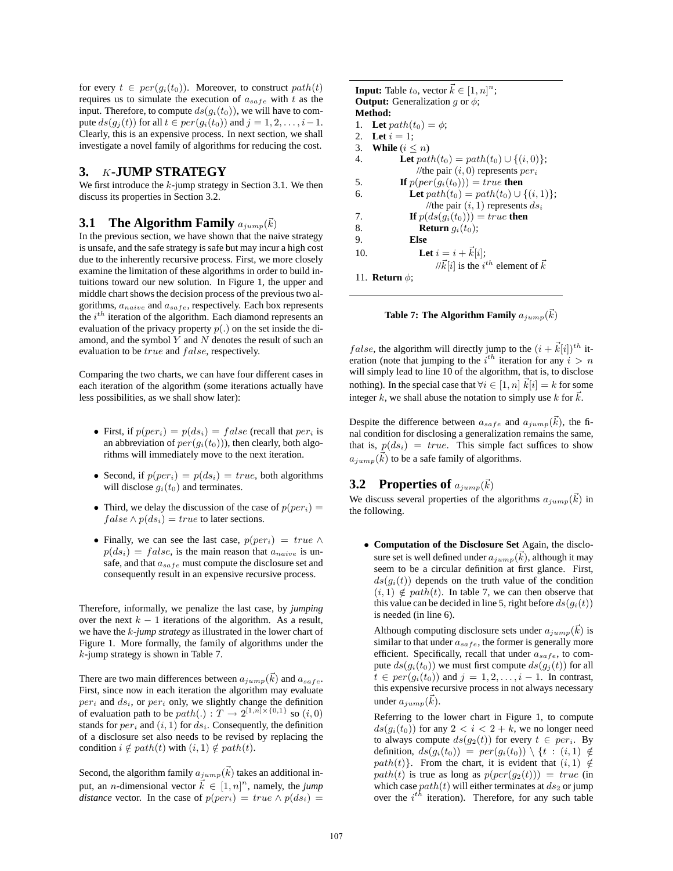for every  $t \in per(g_i(t_0))$ . Moreover, to construct  $path(t)$ requires us to simulate the execution of  $a_{safe}$  with t as the input. Therefore, to compute  $ds(q_i(t_0))$ , we will have to compute  $ds(g_i(t))$  for all  $t \in per(g_i(t_0))$  and  $j = 1, 2, \ldots, i-1$ . Clearly, this is an expensive process. In next section, we shall investigate a novel family of algorithms for reducing the cost.

#### **3.** K**-JUMP STRATEGY**

We first introduce the  $k$ -jump strategy in Section 3.1. We then discuss its properties in Section 3.2.

# **3.1 The Algorithm Family**  $a_{jump}(\vec{k})$

In the previous section, we have shown that the naive strategy is unsafe, and the safe strategy is safe but may incur a high cost due to the inherently recursive process. First, we more closely examine the limitation of these algorithms in order to build intuitions toward our new solution. In Figure 1, the upper and middle chart shows the decision process of the previous two algorithms,  $a_{naive}$  and  $a_{safe}$ , respectively. Each box represents the  $i^{th}$  iteration of the algorithm. Each diamond represents an evaluation of the privacy property  $p(.)$  on the set inside the diamond, and the symbol  $Y$  and  $N$  denotes the result of such an evaluation to be true and false, respectively.

Comparing the two charts, we can have four different cases in each iteration of the algorithm (some iterations actually have less possibilities, as we shall show later):

- First, if  $p{(per_i)} = p(ds_i) = false$  (recall that  $per_i$  is an abbreviation of  $per(q_i(t_0))$ , then clearly, both algorithms will immediately move to the next iteration.
- Second, if  $p(\text{per}_i) = p(ds_i) = \text{true}$ , both algorithms will disclose  $g_i(t_0)$  and terminates.
- Third, we delay the discussion of the case of  $p(per_i)$  =  $false \wedge p(ds_i) = true$  to later sections.
- Finally, we can see the last case,  $p{(per_i)} = true \land$  $p(ds_i) = false$ , is the main reason that  $a_{naive}$  is unsafe, and that  $a_{safe}$  must compute the disclosure set and consequently result in an expensive recursive process.

Therefore, informally, we penalize the last case, by *jumping* over the next  $k - 1$  iterations of the algorithm. As a result, we have the k*-jump strategy* as illustrated in the lower chart of Figure 1. More formally, the family of algorithms under the k-jump strategy is shown in Table 7.

There are two main differences between  $a_{jump}(\vec{k})$  and  $a_{safe}$ . First, since now in each iteration the algorithm may evaluate  $per_i$  and  $ds_i$ , or  $per_i$  only, we slightly change the definition of evaluation path to be  $path(.) : T \rightarrow 2^{[1,n] \times \{0,1\}}$  so  $(i, 0)$ stands for  $per_i$  and  $(i, 1)$  for  $ds_i$ . Consequently, the definition of a disclosure set also needs to be revised by replacing the condition  $i \notin path(t)$  with  $(i, 1) \notin path(t)$ .

Second, the algorithm family  $a_{jump}(\vec{k})$  takes an additional input, an *n*-dimensional vector  $\vec{k} \in [1, n]^n$ , namely, the *jump distance* vector. In the case of  $p(per_i) = true \wedge p(ds_i) =$ 

**Input:** Table  $t_0$ , vector  $\vec{k} \in [1, n]^n$ ; **Output:** Generalization q or  $\phi$ ; **Method:** 1. **Let**  $path(t_0) = \phi$ ; 2. **Let**  $i = 1$ ; 3. **While**  $(i \leq n)$ 4. **Let**  $path(t_0) = path(t_0) \cup \{(i, 0)\};$ //the pair  $(i, 0)$  represents  $per_i$ 5. **If**  $p(\text{per}(g_i(t_0))) = \text{true}$  then 6. **Let**  $path(t_0) = path(t_0) \cup \{(i, 1)\};$ //the pair  $(i, 1)$  represents  $ds_i$ 7. **If**  $p(ds(g_i(t_0))) = true$  **then** 8. **Return**  $g_i(t_0)$ ; 9. **Else** 10. **Let**  $i = i + \vec{k}[i];$ // $\vec{k}[i]$  is the  $i^{th}$  element of  $\vec{k}$ 11. **Return** φ;

**Table 7: The Algorithm Family**  $a_{jump}(\vec{k})$ 

*false*, the algorithm will directly jump to the  $(i + \vec{k}[i])^{th}$  iteration (note that jumping to the  $i^{th}$  iteration for any  $i > n$ will simply lead to line 10 of the algorithm, that is, to disclose nothing). In the special case that  $\forall i \in [1, n]$   $\vec{k}[i] = k$  for some integer k, we shall abuse the notation to simply use k for  $\vec{k}$ .

Despite the difference between  $a_{safe}$  and  $a_{jump}(\vec{k})$ , the final condition for disclosing a generalization remains the same, that is,  $p(ds_i) = true$ . This simple fact suffices to show  $a_{jump}(\vec{k})$  to be a safe family of algorithms.

# **3.2 Properties of**  $a_{jump}(\vec{k})$

We discuss several properties of the algorithms  $a_{jump}(\vec{k})$  in the following.

• **Computation of the Disclosure Set** Again, the disclosure set is well defined under  $a_{jump}(\vec{k})$ , although it may seem to be a circular definition at first glance. First,  $ds(g_i(t))$  depends on the truth value of the condition  $(i, 1) \notin path(t)$ . In table 7, we can then observe that this value can be decided in line 5, right before  $ds(g_i(t))$ is needed (in line 6).

Although computing disclosure sets under  $a_{jump}(\vec{k})$  is similar to that under  $a_{safe}$ , the former is generally more efficient. Specifically, recall that under  $a_{safe}$ , to compute  $ds(g_i(t_0))$  we must first compute  $ds(g_j(t))$  for all  $t \in per(g_i(t_0))$  and  $j = 1, 2, \ldots, i - 1$ . In contrast, this expensive recursive process in not always necessary under  $a_{jump}(\vec{k})$ .

Referring to the lower chart in Figure 1, to compute  $ds(q_i(t_0))$  for any  $2 < i < 2 + k$ , we no longer need to always compute  $ds(q_2(t))$  for every  $t \in per_i$ . By definition,  $ds(q_i(t_0)) = per(q_i(t_0)) \setminus \{t : (i, 1) \notin$ path(t)}. From the chart, it is evident that  $(i, 1) \notin$  $path(t)$  is true as long as  $p(per(g_2(t))) = true$  (in which case  $path(t)$  will either terminates at  $ds_2$  or jump over the  $i^{th}$  iteration). Therefore, for any such table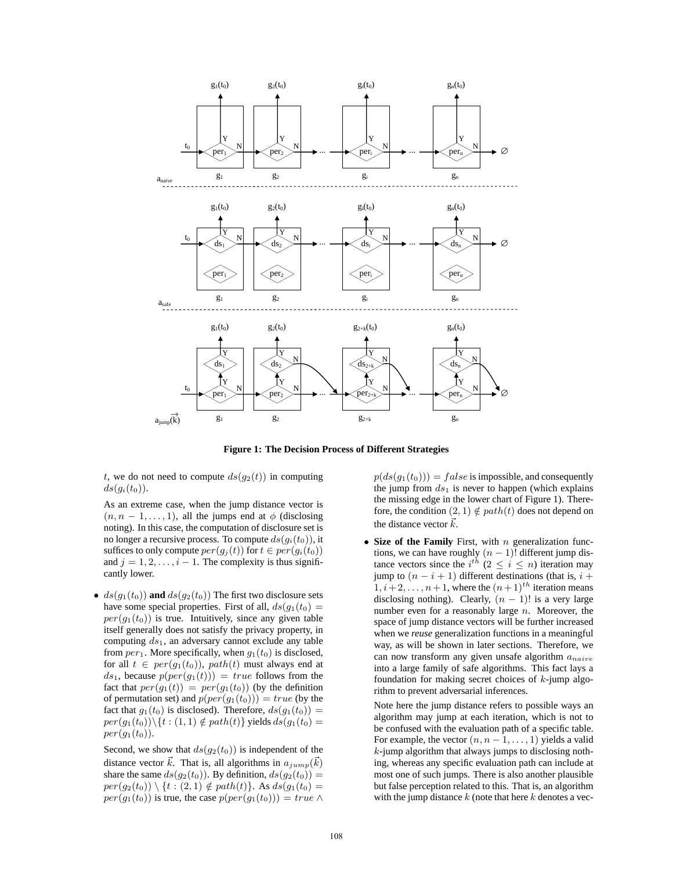

**Figure 1: The Decision Process of Different Strategies**

t, we do not need to compute  $ds(g_2(t))$  in computing  $ds(g_i(t_0))$ .

As an extreme case, when the jump distance vector is  $(n, n - 1, \ldots, 1)$ , all the jumps end at  $\phi$  (disclosing noting). In this case, the computation of disclosure set is no longer a recursive process. To compute  $ds(g_i(t_0))$ , it suffices to only compute  $per(g_j(t))$  for  $t \in per(g_i(t_0))$ and  $j = 1, 2, \ldots, i - 1$ . The complexity is thus significantly lower.

•  $ds(g_1(t_0))$  and  $ds(g_2(t_0))$  The first two disclosure sets have some special properties. First of all,  $ds(q_1(t_0)) =$  $per(g_1(t_0))$  is true. Intuitively, since any given table itself generally does not satisfy the privacy property, in computing  $ds_1$ , an adversary cannot exclude any table from  $per_1$ . More specifically, when  $q_1(t_0)$  is disclosed, for all  $t \in per(g_1(t_0))$ ,  $path(t)$  must always end at  $ds_1$ , because  $p(per(g_1(t))) = true$  follows from the fact that  $per(g_1(t)) = per(g_1(t_0))$  (by the definition of permutation set) and  $p(per(g_1(t_0))) = true$  (by the fact that  $g_1(t_0)$  is disclosed). Therefore,  $ds(g_1(t_0)) =$  $per(g_1(t_0)) \setminus \{t : (1,1) \notin path(t)\}\$  yields  $ds(g_1(t_0)) =$  $per(g_1(t_0))$ .

Second, we show that  $ds(g_2(t_0))$  is independent of the distance vector  $\vec{k}$ . That is, all algorithms in  $a_{jump}(\vec{k})$ share the same  $ds(g_2(t_0))$ . By definition,  $ds(g_2(t_0)) =$  $per(g_2(t_0)) \setminus \{t : (2,1) \notin path(t)\}.$  As  $ds(g_1(t_0)) =$  $per(g_1(t_0))$  is true, the case  $p(per(g_1(t_0))) = true \wedge$   $p(ds(g_1(t_0))) = false$  is impossible, and consequently the jump from  $ds_1$  is never to happen (which explains the missing edge in the lower chart of Figure 1). Therefore, the condition  $(2, 1) \notin path(t)$  does not depend on the distance vector  $\vec{k}$ .

• **Size of the Family** First, with *n* generalization functions, we can have roughly  $(n - 1)!$  different jump distance vectors since the  $i^{th}$   $(2 \leq i \leq n)$  iteration may jump to  $(n - i + 1)$  different destinations (that is,  $i +$  $1, i+2, \ldots, n+1$ , where the  $(n+1)^{th}$  iteration means disclosing nothing). Clearly,  $(n - 1)!$  is a very large number even for a reasonably large  $n$ . Moreover, the space of jump distance vectors will be further increased when we *reuse* generalization functions in a meaningful way, as will be shown in later sections. Therefore, we can now transform any given unsafe algorithm  $a_{naive}$ into a large family of safe algorithms. This fact lays a foundation for making secret choices of  $k$ -jump algorithm to prevent adversarial inferences.

Note here the jump distance refers to possible ways an algorithm may jump at each iteration, which is not to be confused with the evaluation path of a specific table. For example, the vector  $(n, n-1, \ldots, 1)$  yields a valid  $k$ -jump algorithm that always jumps to disclosing nothing, whereas any specific evaluation path can include at most one of such jumps. There is also another plausible but false perception related to this. That is, an algorithm with the jump distance  $k$  (note that here  $k$  denotes a vec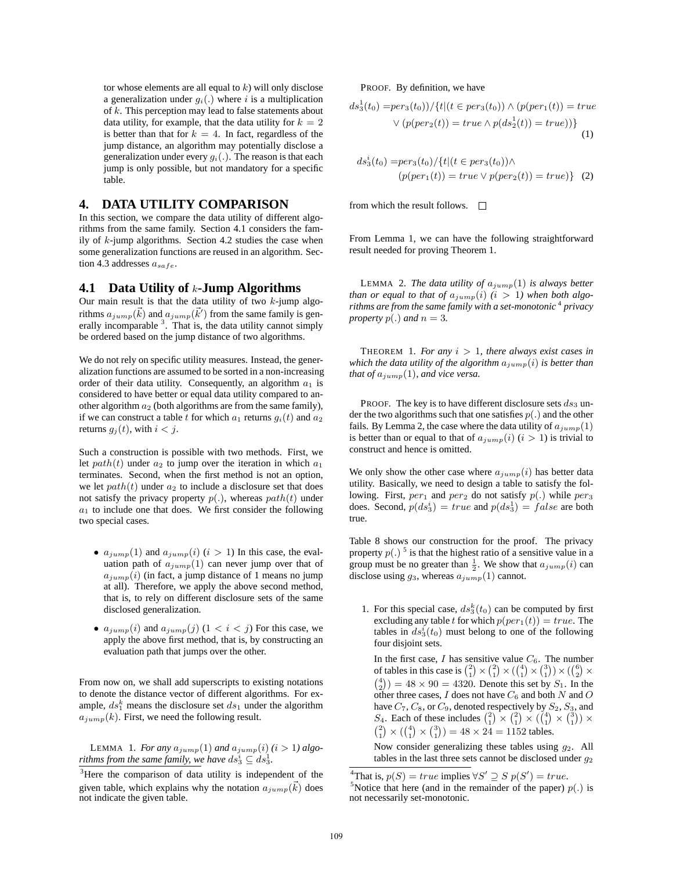tor whose elements are all equal to  $k$ ) will only disclose a generalization under  $g_i(.)$  where i is a multiplication of k. This perception may lead to false statements about data utility, for example, that the data utility for  $k = 2$ is better than that for  $k = 4$ . In fact, regardless of the jump distance, an algorithm may potentially disclose a generalization under every  $q_i(.)$ . The reason is that each jump is only possible, but not mandatory for a specific table.

#### **4. DATA UTILITY COMPARISON**

In this section, we compare the data utility of different algorithms from the same family. Section 4.1 considers the family of  $k$ -jump algorithms. Section 4.2 studies the case when some generalization functions are reused in an algorithm. Section 4.3 addresses  $a_{safe}$ .

#### **4.1 Data Utility of** k**-Jump Algorithms**

Our main result is that the data utility of two  $k$ -jump algorithms  $a_{jump}(\vec{k})$  and  $a_{jump}(\vec{k}')$  from the same family is generally incomparable  $3$ . That is, the data utility cannot simply be ordered based on the jump distance of two algorithms.

We do not rely on specific utility measures. Instead, the generalization functions are assumed to be sorted in a non-increasing order of their data utility. Consequently, an algorithm  $a_1$  is considered to have better or equal data utility compared to another algorithm  $a_2$  (both algorithms are from the same family), if we can construct a table t for which  $a_1$  returns  $g_i(t)$  and  $a_2$ returns  $g_i(t)$ , with  $i < j$ .

Such a construction is possible with two methods. First, we let  $path(t)$  under  $a_2$  to jump over the iteration in which  $a_1$ terminates. Second, when the first method is not an option, we let  $path(t)$  under  $a_2$  to include a disclosure set that does not satisfy the privacy property  $p(.)$ , whereas  $path(t)$  under  $a_1$  to include one that does. We first consider the following two special cases.

- $a_{jump}(1)$  and  $a_{jump}(i)$   $(i > 1)$  In this case, the evaluation path of  $a_{jump}(1)$  can never jump over that of  $a_{jump}(i)$  (in fact, a jump distance of 1 means no jump at all). Therefore, we apply the above second method, that is, to rely on different disclosure sets of the same disclosed generalization.
- $a_{jump}(i)$  and  $a_{jump}(j)$  (1 <  $i < j$ ) For this case, we apply the above first method, that is, by constructing an evaluation path that jumps over the other.

From now on, we shall add superscripts to existing notations to denote the distance vector of different algorithms. For example,  $ds_1^k$  means the disclosure set  $ds_1$  under the algorithm  $a_{jump}(k)$ . First, we need the following result.

LEMMA 1. *For any*  $a_{jump}(1)$  *and*  $a_{jump}(i)$   $(i > 1)$  *algorithms from the same family, we have*  $ds_3^i \subseteq ds_3^1$ .

PROOF. By definition, we have

$$
ds_3^1(t_0) = per_3(t_0)) / \{t | (t \in per_3(t_0)) \land (p(per_1(t)) = true
$$

$$
\lor (p(per_2(t)) = true \land p(ds_2^1(t)) = true)) \}
$$

$$
(1)
$$

$$
ds_3^i(t_0) = per_3(t_0)/\{t | (t \in per_3(t_0)) \wedge (p(per_1(t)) = true \vee p(per_2(t)) = true)\} \quad (2)
$$

from which the result follows.  $\Box$ 

From Lemma 1, we can have the following straightforward result needed for proving Theorem 1.

LEMMA 2. *The data utility of*  $a_{jump}(1)$  *is always better than or equal to that of*  $a_{jump}(i)$  ( $i > 1$ ) when both algo*rithms are from the same family with a set-monotonic* <sup>4</sup> *privacy property*  $p(.)$  *and*  $n = 3$ *.* 

THEOREM 1. For any  $i > 1$ , there always exist cases in *which the data utility of the algorithm*  $a_{jump}(i)$  *is better than that of*  $a_{jump}(1)$ *, and vice versa.* 

PROOF. The key is to have different disclosure sets  $ds_3$  under the two algorithms such that one satisfies  $p(.)$  and the other fails. By Lemma 2, the case where the data utility of  $a_{jump}(1)$ is better than or equal to that of  $a_{jump}(i)$  ( $i > 1$ ) is trivial to construct and hence is omitted.

We only show the other case where  $a_{jump}(i)$  has better data utility. Basically, we need to design a table to satisfy the following. First,  $per_1$  and  $per_2$  do not satisfy  $p(.)$  while  $per_3$ does. Second,  $p(ds_3^1) = true$  and  $p(ds_3^1) = false$  are both true.

Table 8 shows our construction for the proof. The privacy property  $p(.)^5$  is that the highest ratio of a sensitive value in a group must be no greater than  $\frac{1}{2}$ . We show that  $a_{jump}(i)$  can disclose using  $g_3$ , whereas  $a_{jump}(1)$  cannot.

1. For this special case,  $ds_3^k(t_0)$  can be computed by first excluding any table t for which  $p(per_1(t)) = true$ . The tables in  $ds_3^i(t_0)$  must belong to one of the following four disjoint sets.

In the first case,  $I$  has sensitive value  $C_6$ . The number of tables in this case is  $\binom{2}{1} \times \binom{2}{1} \times \binom{4}{1} \times \binom{3}{1} \times \binom{6}{2} \times$  $\binom{4}{2}$  = 48 × 90 = 4320. Denote this set by  $S_1$ . In the other three cases,  $I$  does not have  $C_6$  and both  $N$  and  $O$ have  $C_7$ ,  $C_8$ , or  $C_9$ , denoted respectively by  $S_2$ ,  $S_3$ , and  $S_4$ . Each of these includes  $\binom{2}{1} \times \binom{2}{1} \times \binom{4}{1} \times \binom{3}{1} \times$  $\binom{2}{1} \times \binom{4}{1} \times \binom{3}{1} = 48 \times 24 = 1152$  tables.

Now consider generalizing these tables using  $g_2$ . All tables in the last three sets cannot be disclosed under  $q_2$ 

<sup>&</sup>lt;sup>3</sup>Here the comparison of data utility is independent of the given table, which explains why the notation  $a_{jump}(\vec{k})$  does not indicate the given table.

<sup>&</sup>lt;sup>4</sup>That is,  $p(S) = true$  implies  $\forall S' \supseteq S$   $p(S') = true$ .<br><sup>5</sup>Notice that here (and in the remainder of the namer). <sup>5</sup>Notice that here (and in the remainder of the paper)  $p(.)$  is not necessarily set-monotonic.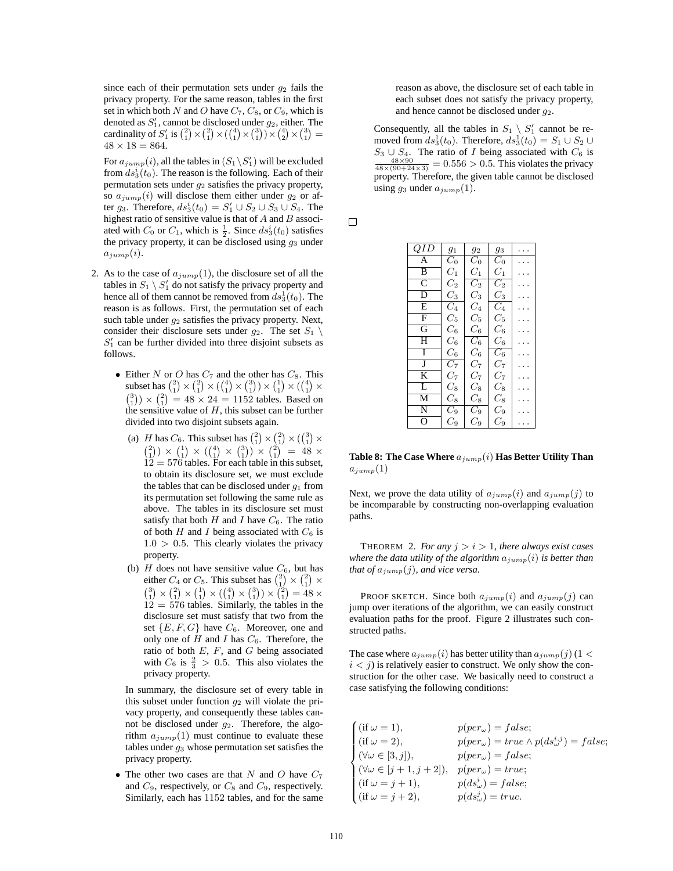since each of their permutation sets under  $g_2$  fails the privacy property. For the same reason, tables in the first set in which both N and O have  $C_7$ ,  $C_8$ , or  $C_9$ , which is denoted as  $S'_1$ , cannot be disclosed under  $g_2$ , either. The cardinality of  $S'_1$  is  $\binom{2}{1} \times \binom{2}{1} \times \binom{4}{1} \times \binom{3}{1} \times \binom{4}{2} \times \binom{4}{2} =$  $48 \times 18 = 864.$ 

For  $a_{jump}(i)$ , all the tables in  $(S_1 \backslash S_1')$  will be excluded from  $ds_3^i(t_0)$ . The reason is the following. Each of their permutation sets under  $g_2$  satisfies the privacy property, so  $a_{jump}(i)$  will disclose them either under  $g_2$  or after  $g_3$ . Therefore,  $ds_3^i(t_0) = S_1' \cup S_2 \cup S_3 \cup S_4$ . The highest ratio of sensitive value is that of  $A$  and  $B$  associated with  $C_0$  or  $C_1$ , which is  $\frac{1}{2}$ . Since  $ds_3^i(t_0)$  satisfies the privacy property, it can be disclosed using  $g_3$  under  $a_{jump}(i)$ .

- 2. As to the case of  $a_{jump}(1)$ , the disclosure set of all the tables in  $S_1 \setminus S'_1$  do not satisfy the privacy property and hence all of them cannot be removed from  $ds_3^1(t_0)$ . The reason is as follows. First, the permutation set of each such table under  $g_2$  satisfies the privacy property. Next, consider their disclosure sets under  $g_2$ . The set  $S_1 \setminus$  $S'_1$  can be further divided into three disjoint subsets as follows.
	- Either N or O has  $C_7$  and the other has  $C_8$ . This subset has  $\binom{2}{1} \times \binom{2}{1} \times \binom{4}{1} \times \binom{3}{1} \times \binom{1}{1} \times \binom{4}{1} \times$  $\binom{3}{1} \times \binom{2}{1} = 48 \times 24 = 1152$  tables. Based on the sensitive value of  $H$ , this subset can be further divided into two disjoint subsets again.
		- (a) *H* has  $C_6$ . This subset has  $\binom{2}{1} \times \binom{2}{1} \times \binom{3}{1} \times$  $\binom{2}{1} \times \binom{1}{1} \times \binom{4}{1} \times \binom{3}{1} \times \binom{2}{1} = 48 \times$  $12 = 576$  tables. For each table in this subset, to obtain its disclosure set, we must exclude the tables that can be disclosed under  $g_1$  from its permutation set following the same rule as above. The tables in its disclosure set must satisfy that both  $H$  and  $I$  have  $C_6$ . The ratio of both  $H$  and  $I$  being associated with  $C_6$  is  $1.0 > 0.5$ . This clearly violates the privacy property.
		- (b)  $H$  does not have sensitive value  $C_6$ , but has either  $C_4$  or  $C_5$ . This subset has  $\binom{2}{1} \times \binom{2}{1} \times$  $\binom{3}{1} \times \binom{2}{1} \times \binom{1}{1} \times \binom{4}{1} \times \binom{3}{1} \times \binom{2}{1} = 48 \times$  $12 = 576$  tables. Similarly, the tables in the disclosure set must satisfy that two from the set  $\{E, F, G\}$  have  $C_6$ . Moreover, one and only one of  $H$  and  $I$  has  $C_6$ . Therefore, the ratio of both  $E$ ,  $F$ , and  $G$  being associated with  $C_6$  is  $\frac{2}{3} > 0.5$ . This also violates the privacy property.

In summary, the disclosure set of every table in this subset under function  $g_2$  will violate the privacy property, and consequently these tables cannot be disclosed under  $g_2$ . Therefore, the algorithm  $a_{jump}(1)$  must continue to evaluate these tables under  $g_3$  whose permutation set satisfies the privacy property.

• The other two cases are that N and O have  $C_7$ and  $C_9$ , respectively, or  $C_8$  and  $C_9$ , respectively. Similarly, each has 1152 tables, and for the same reason as above, the disclosure set of each table in each subset does not satisfy the privacy property, and hence cannot be disclosed under  $q_2$ .

Consequently, all the tables in  $S_1 \setminus S'_1$  cannot be removed from  $ds_3^1(t_0)$ . Therefore,  $ds_3^1(t_0) = S_1 \cup S_2 \cup$  $S_3 \cup S_4$ . The ratio of *I* being associated with  $C_6$  is  $\frac{48\times90}{48\times(90+24\times3)} = 0.556 > 0.5$ . This violates the privacy property. Therefore, the given table cannot be disclosed using  $g_3$  under  $a_{jump}(1)$ .

| QID                     | $g_1$            | 92               | 93               |  |
|-------------------------|------------------|------------------|------------------|--|
| A                       | $\overline{C}_0$ | $\overline{C}_0$ | $\overline{C}_0$ |  |
| B                       | $C_1$            | $C_{1}$          | $C_1$            |  |
| $\overline{\mathbb{C}}$ | $C_{2}$          | $C_{2}$          | $C_{2}$          |  |
| $\overline{\text{D}}$   | $C_3$            | $C_3$            | $C_3$            |  |
| E                       | $C_4$            | $C_4$            | $\overline{C_4}$ |  |
| F                       | $C_5$            | $C_5$            | $C_5$            |  |
| G                       | $C_{6}$          | $C_6$            | $C_{6}$          |  |
| H                       | $C_{6}$          | $\overline{C_6}$ | $C_{6}$          |  |
| T                       | $C_6$            | $C_6$            | $\overline{C_6}$ |  |
| J                       | $C_7$            | $C_7$            | $C_7$            |  |
| K                       | $C_7$            | $C_7$            | $C_7$            |  |
| L                       | $C_{8}$          | $C_8$            | $C_{8}$          |  |
| $\overline{\mathbf{M}}$ | $C_8$            | $C_8$            | $C_8$            |  |
| $\overline{\rm N}$      | $C_9$            | $C_9$            | $C_9$            |  |
| O                       | $C_9$            | $C_9$            | C9               |  |

**Table 8: The Case Where**  $a_{jump}(i)$  **Has Better Utility Than**  $a_{jump}(1)$ 

Next, we prove the data utility of  $a_{jump}(i)$  and  $a_{jump}(j)$  to be incomparable by constructing non-overlapping evaluation paths.

THEOREM 2. For any  $j > i > 1$ , there always exist cases *where the data utility of the algorithm*  $a_{jump}(i)$  *is better than that of*  $a_{jump}(j)$ *, and vice versa.* 

PROOF SKETCH. Since both  $a_{jump}(i)$  and  $a_{jump}(j)$  can jump over iterations of the algorithm, we can easily construct evaluation paths for the proof. Figure 2 illustrates such constructed paths.

The case where  $a_{jump}(i)$  has better utility than  $a_{jump}(j)$  (1 <  $i < j$ ) is relatively easier to construct. We only show the construction for the other case. We basically need to construct a case satisfying the following conditions:

| $\int$ (if $\omega = 1$ ),                                             | $p(\text{per}_{\omega}) = \text{false};$                                           |
|------------------------------------------------------------------------|------------------------------------------------------------------------------------|
| (if $\omega = 2$ ),                                                    | $p(\text{per}_{\omega}) = \text{true} \wedge p(ds_{\omega}^{i,j}) = \text{false};$ |
| $\bigcup (\forall \omega \in [3, j]),$                                 | $p(\text{per}_{\omega}) = \text{false};$                                           |
| $\Big(\forall \omega \in [j+1, j+2]\Big), \quad p(per_\omega) = true;$ |                                                                                    |
| $\int$ (if $\omega = j + 1$ ),                                         | $p(ds^i_\omega) = false;$                                                          |
| $(i f \omega = j + 2),$                                                | $p(ds_{\omega}^j) = true.$                                                         |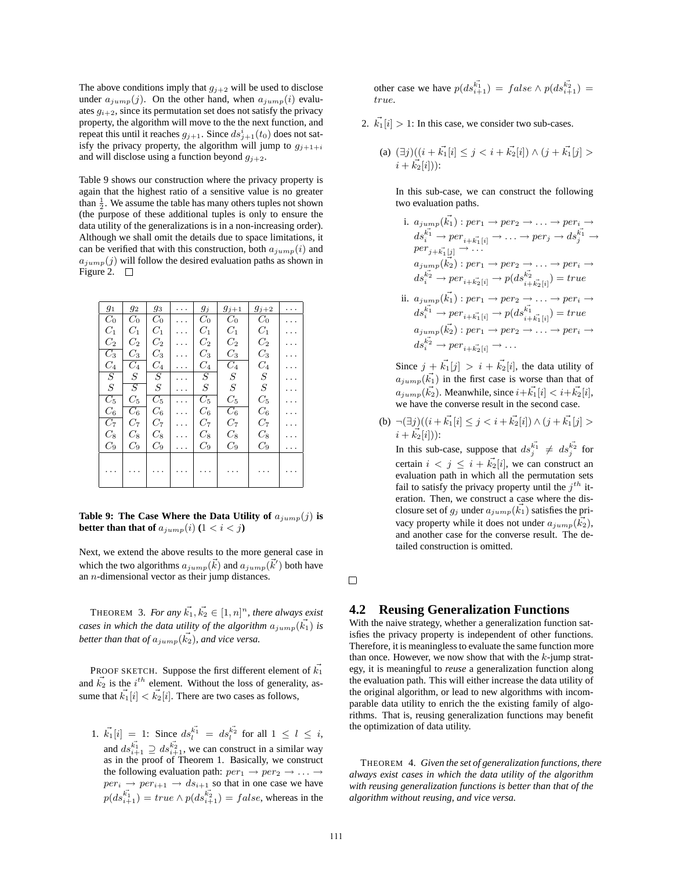The above conditions imply that  $g_{j+2}$  will be used to disclose under  $a_{jump}(j)$ . On the other hand, when  $a_{jump}(i)$  evaluates  $g_{i+2}$ , since its permutation set does not satisfy the privacy property, the algorithm will move to the the next function, and repeat this until it reaches  $g_{j+1}$ . Since  $ds_{j+1}^i(t_0)$  does not satisfy the privacy property, the algorithm will jump to  $g_{j+1+i}$ and will disclose using a function beyond  $g_{j+2}$ .

Table 9 shows our construction where the privacy property is again that the highest ratio of a sensitive value is no greater than  $\frac{1}{2}$ . We assume the table has many others tuples not shown (the purpose of these additional tuples is only to ensure the data utility of the generalizations is in a non-increasing order). Although we shall omit the details due to space limitations, it can be verified that with this construction, both  $a_{jump}(i)$  and  $a_{jump}(j)$  will follow the desired evaluation paths as shown in Figure 2.  $\square$ 

| $g_1$              | 92               | 93             |                      | $g_j$            | $g_{j+1}$        | $g_{j+2}$       |  |
|--------------------|------------------|----------------|----------------------|------------------|------------------|-----------------|--|
| $C_0$              | $C_0$            | $C_0$          | $\ddot{\phantom{0}}$ | $C_0$            | $C_0$            | $C_0$           |  |
| $C_1$              | $C_1$            | $C_1$          | .                    | $C_1$            | $C_1$            | $C_1$           |  |
| $\scriptstyle C_2$ | $C_{2}$          | $C_2$          |                      | $C_2$            | $C_{2}$          | $C_{2}$         |  |
| $\overline{C_3}$   | $\mathcal{C}_3$  | $C_3$          |                      | $\mathcal{C}_3$  | $\mathcal{C}_3$  | $\mathcal{C}_3$ |  |
| $\mathcal{C}_4$    | $C_{4}$          | $C_4$          |                      | $C_4$            | $C_4$            | $C_{4}$         |  |
| $\overline{S}$     | S                | $\overline{S}$ |                      | $\overline{S}$   | $\, S \,$        | $\, S \,$       |  |
| S                  | $\overline{S}$   | $\, S \,$      | .                    | $\boldsymbol{S}$ | $\, S \,$        | $\, S \,$       |  |
| $C_5$              | $C_{5}$          | $C_5$          |                      | $C_5$            | $C_5$            | $C_5$           |  |
| $C_{6}$            | $\overline{C}_6$ | $C_{6}$        | $\cdot$ .            | $C_{6}$          | $\overline{C_6}$ | $C_6$           |  |
| $C_7$              | $C_7$            | $C_7$          | .                    | $C_7$            | $C_7$            | $C_7$           |  |
| $C_{8}$            | $C_{8}$          | $C_{8}$        |                      | $C_{8}$          | $C_{8}$          | $C_{8}$         |  |
| $C_9$              | $C_9$            | $C_9$          | .                    | $C_9$            | $C_9$            | $C_9$           |  |
|                    |                  |                |                      |                  |                  |                 |  |
|                    |                  |                |                      |                  |                  |                 |  |
|                    |                  |                |                      |                  |                  |                 |  |

**Table 9: The Case Where the Data Utility of**  $a_{jump}(j)$  is **better than that of**  $a_{jump}(i)$   $(1 < i < j)$ 

Next, we extend the above results to the more general case in which the two algorithms  $a_{jump}(\vec{k})$  and  $a_{jump}(\vec{k}')$  both have an n-dimensional vector as their jump distances.

**THEOREM** 3. For any  $\vec{k_1}, \vec{k_2} \in [1, n]^n$ , there always exist *cases in which the data utility of the algorithm*  $a_{jump}(\vec{k_1})$  *is* better than that of  $a_{jump}(\vec{k_2})$ , and vice versa.

PROOF SKETCH. Suppose the first different element of  $\vec{k_1}$ and  $\vec{k_2}$  is the  $i^{th}$  element. Without the loss of generality, assume that  $\vec{k_1}[i] < \vec{k_2}[i]$ . There are two cases as follows,

1.  $\vec{k_1}[i] = 1$ : Since  $ds_i^{\vec{k_1}} = ds_i^{\vec{k_2}}$  for all  $1 \leq l \leq i$ , and  $ds_{i+1}^{\vec{k_1}} \supseteq ds_{i+1}^{\vec{k_2}}$ , we can construct in a similar way as in the proof of Theorem 1. Basically, we construct the following evaluation path:  $per_1 \rightarrow per_2 \rightarrow \ldots \rightarrow$  $per_i \rightarrow per_{i+1} \rightarrow ds_{i+1}$  so that in one case we have  $p(ds_{i+1}^{k_1}) = true \wedge p(ds_{i+1}^{k_2}) = false$ , whereas in the

other case we have  $p(ds_{i+1}^{k_1}) = false \wedge p(ds_{i+1}^{k_2}) =$ true.

- 2.  $\vec{k_1}[i] > 1$ : In this case, we consider two sub-cases.
	- (a)  $(\exists j)((i + \vec{k_1}[i] \leq j < i + \vec{k_2}[i]) \wedge (j + \vec{k_1}[j])$  $i + \vec{k_2}[i])$ :

In this sub-case, we can construct the following two evaluation paths.

i. 
$$
a_{jump}(\vec{k_1}) : per_1 \rightarrow per_2 \rightarrow \ldots \rightarrow per_i \rightarrow
$$
  
\n $ds_i^{\vec{k_1}} \rightarrow per_{i+k_1[i]} \rightarrow \ldots \rightarrow per_j \rightarrow ds_j^{\vec{k_1}} \rightarrow$   
\n $per_{j+k_1[j]} \rightarrow \ldots$   
\n $a_{jump}(\vec{k_2}) : per_1 \rightarrow per_2 \rightarrow \ldots \rightarrow per_i \rightarrow$   
\n $ds_i^{\vec{k_2}} \rightarrow per_{i+k_2[i]} \rightarrow p(ds_{i+k_2[i]}^{\vec{k_2}}) = true$   
\nii.  $a_{jump}(\vec{k_1}) : per_1 \rightarrow per_2 \rightarrow \ldots \rightarrow per_i \rightarrow$ 

$$
ds_i^{\vec{k_1}} \to per_{i+\vec{k_1}[i]} \to p(ds_{i+\vec{k_1}[i]}^{\vec{k_1}}) = true
$$
  
\n
$$
a_{jump}(\vec{k_2}) : per_1 \to per_2 \to \dots \to per_i \to ds_i^{\vec{k_2}} \to per_{i+\vec{k_2}[i]} \to \dots
$$

Since  $j + \vec{k_1}[j] > i + \vec{k_2}[i]$ , the data utility of  $a_{jump}(\vec{k_1})$  in the first case is worse than that of  $a_{jump}(\vec{k_2})$ . Meanwhile, since  $i+\vec{k_1}[i] < i+\vec{k_2}[i]$ , we have the converse result in the second case.

(b)  $\neg(\exists j)((i + \vec{k_1}[i] \leq j < i + \vec{k_2}[i]) \wedge (j + \vec{k_1}[j])$  $i + \vec{k_2}[i])$ :

In this sub-case, suppose that  $ds_i^{\vec{k_1}} \neq ds_i^{\vec{k_2}}$  for certain  $i < j \leq i + \vec{k_2}[i]$ , we can construct an evaluation path in which all the permutation sets fail to satisfy the privacy property until the  $j^{th}$  iteration. Then, we construct a case where the disclosure set of  $g_j$  under  $a_{jump}(\vec{k_1})$  satisfies the privacy property while it does not under  $a_{jump}(\vec{k_2})$ , and another case for the converse result. The detailed construction is omitted.

 $\Box$ 

# **4.2 Reusing Generalization Functions**

With the naive strategy, whether a generalization function satisfies the privacy property is independent of other functions. Therefore, it is meaningless to evaluate the same function more than once. However, we now show that with the  $k$ -jump strategy, it is meaningful to *reuse* a generalization function along the evaluation path. This will either increase the data utility of the original algorithm, or lead to new algorithms with incomparable data utility to enrich the the existing family of algorithms. That is, reusing generalization functions may benefit the optimization of data utility.

THEOREM 4. *Given the set of generalization functions, there always exist cases in which the data utility of the algorithm with reusing generalization functions is better than that of the algorithm without reusing, and vice versa.*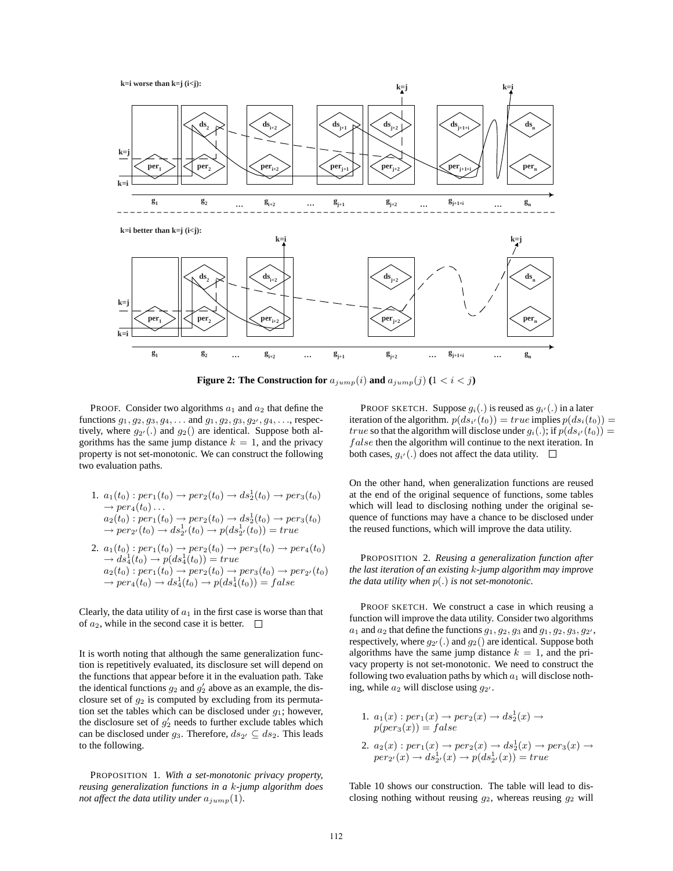**k=i worse than k=j (i<j):**



**Figure 2: The Construction for**  $a_{jump}(i)$  and  $a_{jump}(j)$   $(1 < i < j)$ 

PROOF. Consider two algorithms  $a_1$  and  $a_2$  that define the functions  $g_1, g_2, g_3, g_4, \ldots$  and  $g_1, g_2, g_3, g_{2'}, g_4, \ldots$ , respectively, where  $g_{2'}(.)$  and  $g_2()$  are identical. Suppose both algorithms has the same jump distance  $k = 1$ , and the privacy property is not set-monotonic. We can construct the following two evaluation paths.

- 1.  $a_1(t_0) : per_1(t_0) \rightarrow per_2(t_0) \rightarrow ds_2^1(t_0) \rightarrow per_3(t_0)$  $\rightarrow per_4(t_0) \dots$  $a_2(t_0): per_1(t_0) \to per_2(t_0) \to ds_2^1(t_0) \to per_3(t_0)$  $\rightarrow per_{2'}(t_0) \rightarrow ds_{2'}^1(t_0) \rightarrow p(ds_{2'}^1(t_0)) = true$
- 2.  $a_1(t_0) : per_1(t_0) \to per_2(t_0) \to per_3(t_0) \to per_4(t_0)$  $\rightarrow ds_4^1(t_0) \rightarrow p(ds_4^1(t_0)) = true$  $a_2(t_0): per_1(t_0) \to per_2(t_0) \to per_3(t_0) \to per_{2'}(t_0)$  $\rightarrow per_4(t_0) \rightarrow ds_4^1(t_0) \rightarrow p(ds_4^1(t_0)) = false$

Clearly, the data utility of  $a_1$  in the first case is worse than that of  $a_2$ , while in the second case it is better.  $\Box$ 

It is worth noting that although the same generalization function is repetitively evaluated, its disclosure set will depend on the functions that appear before it in the evaluation path. Take the identical functions  $g_2$  and  $g'_2$  above as an example, the disclosure set of  $g_2$  is computed by excluding from its permutation set the tables which can be disclosed under  $q_1$ ; however, the disclosure set of  $g'_2$  needs to further exclude tables which can be disclosed under  $g_3$ . Therefore,  $ds_{2'} \subseteq ds_2$ . This leads to the following.

PROPOSITION 1. *With a set-monotonic privacy property, reusing generalization functions in a* k*-jump algorithm does not affect the data utility under*  $a_{jump}(1)$ *.* 

PROOF SKETCH. Suppose  $g_i(.)$  is reused as  $g_{i'}(.)$  in a later iteration of the algorithm.  $p(ds_{i'}(t_0)) = true$  implies  $p(ds_i(t_0)) =$ *true* so that the algorithm will disclose under  $g_i(.)$ ; if  $p(ds_{i'}(t_0)) =$ false then the algorithm will continue to the next iteration. In both cases,  $g_{i'}(.)$  does not affect the data utility.

On the other hand, when generalization functions are reused at the end of the original sequence of functions, some tables which will lead to disclosing nothing under the original sequence of functions may have a chance to be disclosed under the reused functions, which will improve the data utility.

PROPOSITION 2. *Reusing a generalization function after the last iteration of an existing* k*-jump algorithm may improve the data utility when* p(.) *is not set-monotonic.*

PROOF SKETCH. We construct a case in which reusing a function will improve the data utility. Consider two algorithms  $a_1$  and  $a_2$  that define the functions  $g_1, g_2, g_3$  and  $g_1, g_2, g_3, g_2$ , respectively, where  $g_{2'}(.)$  and  $g_2()$  are identical. Suppose both algorithms have the same jump distance  $k = 1$ , and the privacy property is not set-monotonic. We need to construct the following two evaluation paths by which  $a_1$  will disclose nothing, while  $a_2$  will disclose using  $g_{2'}$ .

1. 
$$
a_1(x): per_1(x) \rightarrow per_2(x) \rightarrow ds_2^1(x) \rightarrow
$$
  
\n $p (per_3(x)) = false$   
\n2.  $a_2(x): per_1(x) \rightarrow per_2(x) \rightarrow ds_2^1(x) \rightarrow per_3(x) \rightarrow$   
\n $per_{2'}(x) \rightarrow ds_{2'}^1(x) \rightarrow p(ds_{2'}^1(x)) = true$ 

Table 10 shows our construction. The table will lead to disclosing nothing without reusing  $g_2$ , whereas reusing  $g_2$  will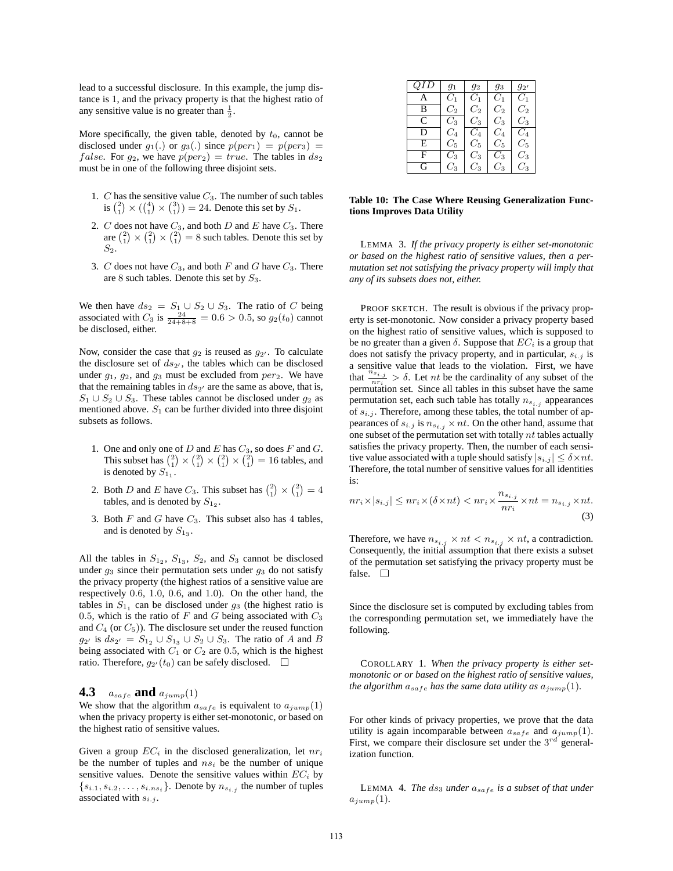lead to a successful disclosure. In this example, the jump distance is 1, and the privacy property is that the highest ratio of any sensitive value is no greater than  $\frac{1}{2}$ .

More specifically, the given table, denoted by  $t_0$ , cannot be disclosed under  $g_1(.)$  or  $g_3(.)$  since  $p(per_1) = p(per_3) =$ *false.* For  $g_2$ , we have  $p{(per_2)} = true$ . The tables in  $ds_2$ must be in one of the following three disjoint sets.

- 1. C has the sensitive value  $C_3$ . The number of such tables is  $\binom{2}{1} \times \binom{4}{1} \times \binom{3}{1} = 24$ . Denote this set by  $S_1$ .
- 2. C does not have  $C_3$ , and both D and E have  $C_3$ . There are  $\binom{2}{1} \times \binom{2}{1} = 8$  such tables. Denote this set by  $S_2$ .
- 3. C does not have  $C_3$ , and both F and G have  $C_3$ . There are 8 such tables. Denote this set by  $S_3$ .

We then have  $ds_2 = S_1 \cup S_2 \cup S_3$ . The ratio of C being associated with  $C_3$  is  $\frac{24}{24+8+8} = 0.6 > 0.5$ , so  $g_2(t_0)$  cannot be disclosed, either.

Now, consider the case that  $g_2$  is reused as  $g_{2'}$ . To calculate the disclosure set of  $ds_{2'}$ , the tables which can be disclosed under  $g_1$ ,  $g_2$ , and  $g_3$  must be excluded from  $per_2$ . We have that the remaining tables in  $ds_{2}$  are the same as above, that is,  $S_1 \cup S_2 \cup S_3$ . These tables cannot be disclosed under  $g_2$  as mentioned above.  $S_1$  can be further divided into three disjoint subsets as follows.

- 1. One and only one of  $D$  and  $E$  has  $C_3$ , so does  $F$  and  $G$ . This subset has  $\binom{2}{1} \times \binom{2}{1} \times \binom{2}{1} \times \binom{2}{1} = 16$  tables, and is denoted by  $S_{11}$ .
- 2. Both D and E have  $C_3$ . This subset has  $\binom{2}{1} \times \binom{2}{1} = 4$ tables, and is denoted by  $S_{12}$ .
- 3. Both  $F$  and  $G$  have  $C_3$ . This subset also has 4 tables, and is denoted by  $S_{13}$ .

All the tables in  $S_{12}$ ,  $S_{13}$ ,  $S_2$ , and  $S_3$  cannot be disclosed under  $q_3$  since their permutation sets under  $q_3$  do not satisfy the privacy property (the highest ratios of a sensitive value are respectively 0.6, 1.0, 0.6, and 1.0). On the other hand, the tables in  $S_{1_1}$  can be disclosed under  $g_3$  (the highest ratio is 0.5, which is the ratio of  $F$  and  $G$  being associated with  $C_3$ and  $C_4$  (or  $C_5$ )). The disclosure set under the reused function  $g_{2'}$  is  $ds_{2'} = S_{1_2} \cup S_{1_3} \cup S_2 \cup S_3$ . The ratio of A and B being associated with  $C_1$  or  $C_2$  are 0.5, which is the highest ratio. Therefore,  $g_{2'}(t_0)$  can be safely disclosed.

#### **4.3**  $a_{safe}$  **and**  $a_{jump}(1)$

We show that the algorithm  $a_{safe}$  is equivalent to  $a_{jump}(1)$ when the privacy property is either set-monotonic, or based on the highest ratio of sensitive values.

Given a group  $EC_i$  in the disclosed generalization, let  $nr_i$ be the number of tuples and  $ns<sub>i</sub>$  be the number of unique sensitive values. Denote the sensitive values within  $EC_i$  by  $\{s_{i,1}, s_{i,2}, \ldots, s_{i,ns_i}\}.$  Denote by  $n_{s_{i,j}}$  the number of tuples associated with  $s_{i,j}$ .

| QID | $g_1$ | $q_2$   | $g_3$   | $g_{2'}$    |
|-----|-------|---------|---------|-------------|
|     | $C_1$ | $C_1$   | $C_1$   | $C_1$       |
| в   | $C_2$ | $C_2$   | $C_2$   | $C_2$       |
| Ċ.  | $C_3$ | $C_3$   | $C_{3}$ | $C_{3}$     |
| D   | $C_4$ | Cл      | $C_{4}$ | Cл          |
| E.  | $C_5$ | $C_5$   | $C_5$   | $C_5$       |
| F   | $C_3$ | $C_{3}$ | $C_3$   | $C_{3}$     |
| G.  | $C_3$ | $C_{3}$ | $C_{3}$ | $C_{\rm 3}$ |

#### **Table 10: The Case Where Reusing Generalization Functions Improves Data Utility**

LEMMA 3. *If the privacy property is either set-monotonic or based on the highest ratio of sensitive values, then a permutation set not satisfying the privacy property will imply that any of its subsets does not, either.*

PROOF SKETCH. The result is obvious if the privacy property is set-monotonic. Now consider a privacy property based on the highest ratio of sensitive values, which is supposed to be no greater than a given  $\delta$ . Suppose that  $EC_i$  is a group that does not satisfy the privacy property, and in particular,  $s_{i,j}$  is a sensitive value that leads to the violation. First, we have that  $\frac{n_{s,i}}{n_{r_i}} > \delta$ . Let *nt* be the cardinality of any subset of the permutation set. Since all tables in this subset have the same permutation set, each such table has totally  $n_{s_{i,j}}$  appearances of  $s_{i,j}$ . Therefore, among these tables, the total number of appearances of  $s_{i,j}$  is  $n_{s_{i,j}} \times nt$ . On the other hand, assume that one subset of the permutation set with totally  $nt$  tables actually satisfies the privacy property. Then, the number of each sensitive value associated with a tuple should satisfy  $|s_{i,j}| \leq \delta \times nt$ . Therefore, the total number of sensitive values for all identities is:

$$
nr_i \times |s_{i,j}| \le nr_i \times (\delta \times nt) < nr_i \times \frac{n_{s_{i,j}}}{nr_i} \times nt = n_{s_{i,j}} \times nt. \tag{3}
$$

Therefore, we have  $n_{s_{i,j}} \times nt < n_{s_{i,j}} \times nt$ , a contradiction. Consequently, the initial assumption that there exists a subset of the permutation set satisfying the privacy property must be false.  $\square$ 

Since the disclosure set is computed by excluding tables from the corresponding permutation set, we immediately have the following.

COROLLARY 1. *When the privacy property is either setmonotonic or or based on the highest ratio of sensitive values, the algorithm*  $a_{safe}$  *has the same data utility as*  $a_{jump}(1)$ *.* 

For other kinds of privacy properties, we prove that the data utility is again incomparable between  $a_{safe}$  and  $a_{jump}(1)$ . First, we compare their disclosure set under the  $3^{rd}$  generalization function.

LEMMA 4. *The* ds<sup>3</sup> *under* asafe *is a subset of that under*  $a_{jump}(1)$ .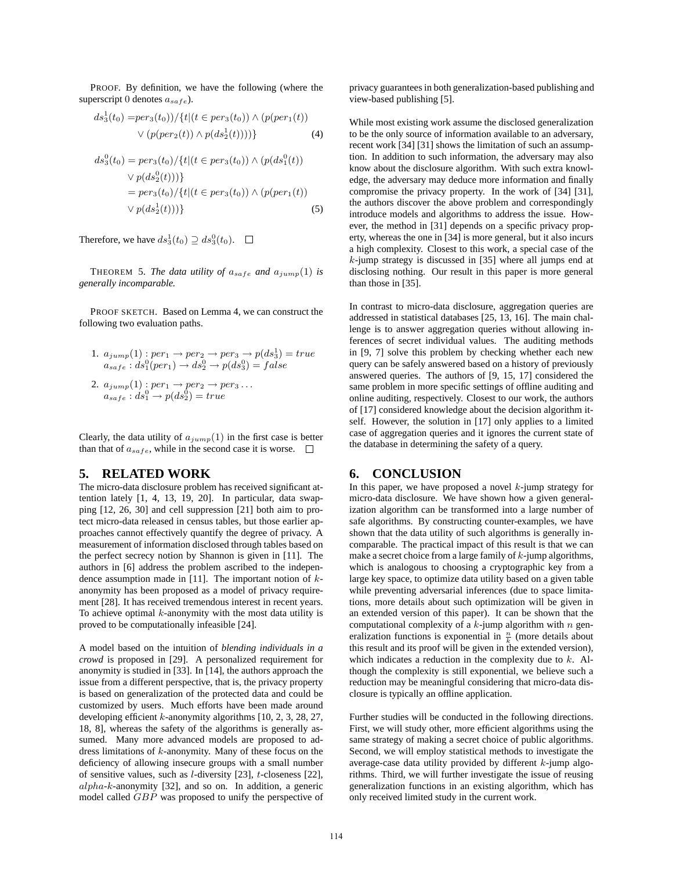PROOF. By definition, we have the following (where the superscript 0 denotes  $a_{safe}$ ).

$$
ds_3^1(t_0) = per_3(t_0)) / \{t | (t \in per_3(t_0)) \land (p (per_1(t))
$$
  
 
$$
\lor (p (per_2(t)) \land p (ds_2^1(t)))) \}
$$
 (4)

$$
ds_3^0(t_0) = per_3(t_0)/\{t | (t \in per_3(t_0)) \land (p(ds_1^0(t))
$$
  
  $\lor p(ds_2^0(t)))\}$   
= per\_3(t\_0)/\{t | (t \in per\_3(t\_0)) \land (p(per\_1(t))  
  $\lor p(ds_2^1(t)))\}$  (5)

Therefore, we have  $ds_3^1(t_0) \supseteq ds_3^0(t_0)$ .

THEOREM 5. *The data utility of*  $a_{safe}$  *and*  $a_{jump}(1)$  *is generally incomparable.*

PROOF SKETCH. Based on Lemma 4, we can construct the following two evaluation paths.

- 1.  $a_{jump}(1)$ :  $per_1 \rightarrow per_2 \rightarrow per_3 \rightarrow p(ds_3^1) = true$  $a_{safe}: ds_1^0 (per_1) \rightarrow ds_2^0 \rightarrow p(ds_3^0) = false$
- 2.  $a_{jump}(1): per_1 \rightarrow per_2 \rightarrow per_3 \ldots$  $a_{safe}: ds_1^0 \rightarrow p(ds_2^0) = true$

Clearly, the data utility of  $a_{jump}(1)$  in the first case is better than that of  $a_{safe}$ , while in the second case it is worse.  $\Box$ 

## **5. RELATED WORK**

The micro-data disclosure problem has received significant attention lately [1, 4, 13, 19, 20]. In particular, data swapping [12, 26, 30] and cell suppression [21] both aim to protect micro-data released in census tables, but those earlier approaches cannot effectively quantify the degree of privacy. A measurement of information disclosed through tables based on the perfect secrecy notion by Shannon is given in [11]. The authors in [6] address the problem ascribed to the independence assumption made in  $[11]$ . The important notion of  $k$ anonymity has been proposed as a model of privacy requirement [28]. It has received tremendous interest in recent years. To achieve optimal  $k$ -anonymity with the most data utility is proved to be computationally infeasible [24].

A model based on the intuition of *blending individuals in a crowd* is proposed in [29]. A personalized requirement for anonymity is studied in [33]. In [14], the authors approach the issue from a different perspective, that is, the privacy property is based on generalization of the protected data and could be customized by users. Much efforts have been made around developing efficient  $k$ -anonymity algorithms [10, 2, 3, 28, 27, 18, 8], whereas the safety of the algorithms is generally assumed. Many more advanced models are proposed to address limitations of k-anonymity. Many of these focus on the deficiency of allowing insecure groups with a small number of sensitive values, such as l-diversity [23], t-closeness [22], alpha-k-anonymity [32], and so on. In addition, a generic model called GBP was proposed to unify the perspective of privacy guarantees in both generalization-based publishing and view-based publishing [5].

While most existing work assume the disclosed generalization to be the only source of information available to an adversary, recent work [34] [31] shows the limitation of such an assumption. In addition to such information, the adversary may also know about the disclosure algorithm. With such extra knowledge, the adversary may deduce more information and finally compromise the privacy property. In the work of [34] [31], the authors discover the above problem and correspondingly introduce models and algorithms to address the issue. However, the method in [31] depends on a specific privacy property, whereas the one in [34] is more general, but it also incurs a high complexity. Closest to this work, a special case of the k-jump strategy is discussed in [35] where all jumps end at disclosing nothing. Our result in this paper is more general than those in [35].

In contrast to micro-data disclosure, aggregation queries are addressed in statistical databases [25, 13, 16]. The main challenge is to answer aggregation queries without allowing inferences of secret individual values. The auditing methods in [9, 7] solve this problem by checking whether each new query can be safely answered based on a history of previously answered queries. The authors of [9, 15, 17] considered the same problem in more specific settings of offline auditing and online auditing, respectively. Closest to our work, the authors of [17] considered knowledge about the decision algorithm itself. However, the solution in [17] only applies to a limited case of aggregation queries and it ignores the current state of the database in determining the safety of a query.

## **6. CONCLUSION**

In this paper, we have proposed a novel  $k$ -jump strategy for micro-data disclosure. We have shown how a given generalization algorithm can be transformed into a large number of safe algorithms. By constructing counter-examples, we have shown that the data utility of such algorithms is generally incomparable. The practical impact of this result is that we can make a secret choice from a large family of  $k$ -jump algorithms, which is analogous to choosing a cryptographic key from a large key space, to optimize data utility based on a given table while preventing adversarial inferences (due to space limitations, more details about such optimization will be given in an extended version of this paper). It can be shown that the computational complexity of a  $k$ -jump algorithm with  $n$  generalization functions is exponential in  $\frac{n}{k}$  (more details about this result and its proof will be given in the extended version), which indicates a reduction in the complexity due to  $k$ . Although the complexity is still exponential, we believe such a reduction may be meaningful considering that micro-data disclosure is typically an offline application.

Further studies will be conducted in the following directions. First, we will study other, more efficient algorithms using the same strategy of making a secret choice of public algorithms. Second, we will employ statistical methods to investigate the average-case data utility provided by different  $k$ -jump algorithms. Third, we will further investigate the issue of reusing generalization functions in an existing algorithm, which has only received limited study in the current work.